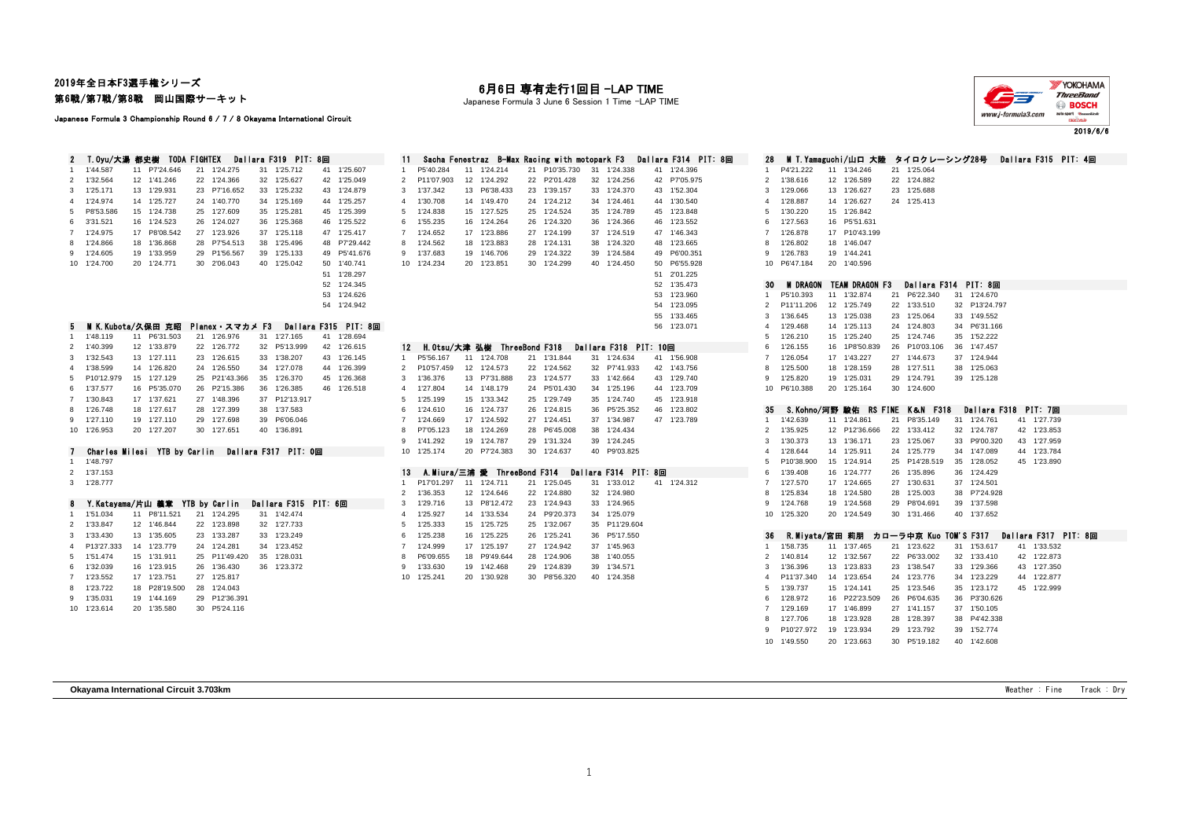2019年全日本F3選手権シリーズ 第6戦/第7戦/第8戦 岡山国際サーキット

Japanese Formula 3 Championship Round 6 / 7 / 8 Okayama International Circuit

## 月6日 専有走行1回目 -LAP TIME

Japanese Formula 3 June 6 Session 1 Time -LAP TIME



2019/6/6

| $\mathbf{2}$ |             | T.Oyu/大湯 都史樹 TODA FIGHTEX      |                                                   | Dallara F319 PIT: 8回 |                      | -11-           |                             |                             | Sacha Fenestraz B-Max Racing with motopark F3 |    |                       | Dallara F314 PIT: 8回 | 28                    |                 |    | - MIT.Yamaguchi/山口 大陸 タイロクレーシング28号 |               |                       |                      | Dallara F315 PIT: 4回 |  |
|--------------|-------------|--------------------------------|---------------------------------------------------|----------------------|----------------------|----------------|-----------------------------|-----------------------------|-----------------------------------------------|----|-----------------------|----------------------|-----------------------|-----------------|----|------------------------------------|---------------|-----------------------|----------------------|----------------------|--|
|              | 1'44.587    | 11 P7'24.646                   | 21 1'24.275                                       | 31 1'25.712          | 41 1'25.607          | $\mathbf{1}$   | P5'40.284                   | 11 1'24.214                 | 21 P10'35.730                                 | 31 | 1'24.338              | 41 1'24.396          | $\mathbf{1}$          | P4'21.222       |    | 11 1'34.246                        | 21 1'25.064   |                       |                      |                      |  |
| 2            | 1'32.564    | 12 1'41.246                    | 22 1'24.366                                       | 32 1'25.627          | 42 1'25.049          | 2              | P11'07.903                  | 12 1'24.292                 | 22 P2'01.428                                  |    | 32 1'24.256           | 42 P7'05.975         | $\overline{2}$        | 1'38.616        |    | 12 1'26.589                        | 22 1'24.882   |                       |                      |                      |  |
| 3            | 1'25.171    | 13 1'29.931                    | 23 P7'16.652                                      | 33 1'25.232          | 43 1'24.879          | 3              | 1'37.342                    | 13 P6'38.433                | 23 1'39.157                                   |    | 33 1'24.370           | 43 1'52.304          | 3                     | 1'29.066        |    | 13 1'26.627                        | 23 1'25.688   |                       |                      |                      |  |
| 4            | 1'24.974    | 14 1'25,727                    | 24 1'40.770                                       | 34 1'25.169          | 44 1'25.257          | $\overline{4}$ | 1'30.708                    | 14 1'49.470                 | 24 1'24.212                                   |    | 34 1'24.461           | 44 1'30.540          | $\overline{4}$        | 1'28.887        |    | 14 1'26.627                        | 24 1'25.413   |                       |                      |                      |  |
| 5            | P8'53.586   | 15 1'24.738                    | 25 1'27.609                                       | 35 1'25.281          | 45 1'25.399          | 5              | 1'24.838                    | 15 1'27.525                 | 25 1'24.524                                   |    | 35 1'24.789           | 45 1'23.848          | 5                     | 1'30.220        |    | 15 1'26.842                        |               |                       |                      |                      |  |
| 6            | 3'31.521    | 16 1'24.523                    | 26 1'24.027                                       | 36 1'25.368          | 46 1'25.522          | 6              | 1'55.235                    | 16 1'24.264                 | 26 1'24.320                                   |    | 36 1'24.366           | 46 1'23.552          | 6                     | 1'27.563        |    | 16 P5'51.631                       |               |                       |                      |                      |  |
|              | 1'24.975    | 17 P8'08.542                   | 27 1'23.926                                       | 37 1'25.118          | 47 1'25.417          | $\overline{7}$ | 1'24.652                    | 17 1'23.886                 | 27 1'24.199                                   |    | 37 1'24.519           | 47 1'46.343          | $\overline{7}$        | 1'26.878        |    | 17 P10'43.199                      |               |                       |                      |                      |  |
| 8            | 1'24.866    | 18 1'36.868                    | 28 P7'54.513                                      | 38 1'25.496          | 48 P7'29.442         | 8              | 1'24.562                    | 18 1'23.883                 | 28 1'24.131                                   |    | 38 1'24.320           | 48 1'23.665          | 8                     | 1'26.802        |    | 18 1'46.047                        |               |                       |                      |                      |  |
| 9            | 1'24.605    | 19 1'33.959                    | 29 P1'56.567                                      | 39 1'25.133          | 49 P5'41.676         | 9              | 1'37.683                    | 19 1'46.706                 | 29 1'24.322                                   |    | 39 1'24.584           | 49 P6'00.351         | 9                     | 1'26.783        |    | 19 1'44.241                        |               |                       |                      |                      |  |
|              | 10 1'24.700 | 20 1'24.771                    | 30 2'06.043                                       | 40 1'25.042          | 50 1'40.741          |                | 10 1'24.234                 | 20 1'23.851                 | 30 1'24.299                                   |    | 40 1'24.450           | 50 P6'55.928         |                       | 10 P6'47.184    |    | 20 1'40.596                        |               |                       |                      |                      |  |
|              |             |                                |                                                   |                      | 51 1'28.297          |                |                             |                             |                                               |    |                       | 51 2'01.225          |                       |                 |    |                                    |               |                       |                      |                      |  |
|              |             |                                |                                                   |                      | 52 1'24.345          |                |                             |                             |                                               |    |                       | 52 1'35.473          | 30                    | <b>M DRAGON</b> |    | <b>TEAM DRAGON F3</b>              |               | Dallara F314 PIT: 8回  |                      |                      |  |
|              |             |                                |                                                   |                      | 53 1'24.626          |                |                             |                             |                                               |    |                       | 53 1'23.960          | $\mathbf{1}$          | P5'10.393       |    | 11 1'32.874                        | 21 P6'22.340  |                       | 31 1'24.670          |                      |  |
|              |             |                                |                                                   |                      | 54 1'24.942          |                |                             |                             |                                               |    |                       | 54 1'23.095          | $\overline{2}$        | P11'11.206      |    | 12 1'25.749                        | 22 1'33.510   |                       | 32 P13'24.797        |                      |  |
|              |             |                                |                                                   |                      |                      |                |                             |                             |                                               |    |                       | 55 1'33.465          | 3                     | 1'36.645        |    | 13 1'25.038                        | 23 1'25.064   |                       | 33 1'49.552          |                      |  |
| 5            |             | MIK.Kubota/久保田 克昭              | Planex・スマカメ F3                                    |                      | Dallara F315 PIT: 8回 |                |                             |                             |                                               |    |                       | 56 1'23.071          | $\boldsymbol{\Delta}$ | 1'29.468        |    | 14 1'25.113                        | 24 1'24.803   |                       | 34 P6'31.166         |                      |  |
|              | 1 1'48.119  | 11 P6'31.503                   | 21 1'26.976                                       | 31 1'27.165          | 41 1'28.694          |                |                             |                             |                                               |    |                       |                      | 5                     | 1'26.210        |    | 15 1'25.240                        | 25 1'24.746   |                       | 35 1'52.222          |                      |  |
|              | 2 1'40.399  | 12 1'33.879                    | 22 1'26.772                                       | 32 P5'13.999         | 42 1'26.615          | 12             |                             | H.Otsu/大津 弘樹 ThreeBond F318 |                                               |    | Dallara F318 PIT: 10回 |                      | 6                     | 1'26.155        |    | 16 1P8'50.839                      | 26 P10'03.106 |                       | 36 1'47.457          |                      |  |
| 3            | 1'32.543    | 13 1'27.111                    | 23 1'26.615                                       | 33 1'38.207          | 43 1'26.145          | $\mathbf{1}$   | P5'56.167                   | 11 1'24.708                 | 21 1'31.844                                   |    | 31 1'24.634           | 41 1'56.908          | $\overline{7}$        | 1'26.054        |    | 17 1'43.227                        | 27 1'44.673   |                       | 37 1'24.944          |                      |  |
| 4            | 1'38.599    | 14 1'26.820                    | 24 1'26.550                                       | 34 1'27.078          | 44 1'26.399          | 2              | P10'57.459                  | 12 1'24.573                 | 22 1'24.562                                   |    | 32 P7'41.933          | 42 1'43.756          | 8                     | 1'25.500        |    | 18 1'28.159                        | 28 1'27.511   |                       | 38 1'25.063          |                      |  |
| 5            | P10'12.979  | 15 1'27.129                    | 25 P21'43.366                                     | 35 1'26.370          | 45 1'26.368          | 3              | 1'36.376                    | 13 P7'31.888                | 23 1'24.577                                   |    | 33 1'42.664           | 43 1'29.740          | 9                     | 1'25.820        | 19 | 1'25.031                           | 29 1'24.791   |                       | 39 1'25.128          |                      |  |
| 6            | 1'37.577    | 16 P5'35.070                   | 26 P2'15.386                                      | 36 1'26.385          | 46 1'26.518          | $\overline{4}$ | 1'27.804                    | 14 1'48.179                 | 24 P5'01.430                                  |    | 34 1'25.196           | 44 1'23.709          |                       | 10 P6'10.388    |    | 20 1'25.164                        | 30 1'24.600   |                       |                      |                      |  |
| 7            | 1'30.843    | 17 1'37.621                    | 27 1'48.396                                       | 37 P12'13.917        |                      | -5             | 1'25.199                    | 15 1'33.342                 | 25 1'29.749                                   |    | 35 1'24.740           | 45 1'23.918          |                       |                 |    |                                    |               |                       |                      |                      |  |
| 8            | 1'26.748    | 18 1'27.617                    | 28 1'27.399                                       | 38 1'37.583          |                      | 6              | 1'24.610                    | 16 1'24.737                 | 26 1'24.815                                   |    | 36 P5'25.352          | 46 1'23.802          | 35                    | S.Kohno/河野 駿佑   |    |                                    |               | RS FINE K&N F318      | Dallara F318 PIT: 7回 |                      |  |
| 9            | 1'27.110    | 19 1'27.110                    | 29 1'27.698                                       | 39 P6'06.046         |                      | $\overline{7}$ | 1'24.669                    | 17 1'24.592                 | 27 1'24.451                                   |    | 37 1'34.987           | 47 1'23.789          | 1                     | 1'42.639        |    | 11 1'24.861                        | 21 P8'35.149  |                       | 31 1'24.761          | 41 1'27.739          |  |
|              | 10 1'26.953 | 20 1'27.207                    | 30 1'27.651                                       | 40 1'36.891          |                      |                | P7'05.123                   | 18 1'24.269                 | 28 P6'45,008                                  |    | 38 1'24.434           |                      | $\overline{2}$        | 1'35.925        |    | 12 P12'36.666                      | 22 1'33.412   |                       | 32 1'24.787          | 42 1'23.853          |  |
|              |             |                                |                                                   |                      |                      | 9              | 1'41.292                    | 19 1'24.787                 | 29 1'31.324                                   |    | 39 1'24.245           |                      | 3                     | 1'30.373        |    | 13 1'36.171                        | 23 1'25.067   |                       | 33 P9'00.320         | 43 1'27.959          |  |
|              |             |                                | Charles Milesi YTB by Carlin Dallara F317 PIT: 0回 |                      |                      |                | 10 1'25.174                 | 20 P7'24.383                | 30 1'24.637                                   |    | 40 P9'03.825          |                      | $\overline{4}$        | 1'28.644        |    | 14 1'25.911                        | 24 1'25.779   |                       | 34 1'47.089          | 44 1'23.784          |  |
|              | 1 1'48.797  |                                |                                                   |                      |                      |                |                             |                             |                                               |    |                       |                      | 5                     | P10'38.900      |    | 15 1'24.914                        | 25 P14'28.519 |                       | 35 1'28.052          | 45 1'23.890          |  |
|              | 2 1'37.153  |                                |                                                   |                      |                      | 13             | A.Miura/三浦 愛 ThreeBond F314 |                             |                                               |    | Dallara F314 PIT: 8回  |                      | 6                     | 1'39.408        |    | 16 1'24.777                        | 26 1'35.896   |                       | 36 1'24.429          |                      |  |
|              | 3 1'28.777  |                                |                                                   |                      |                      |                | P17'01.297                  | 11 1'24.711                 | 21 1'25.045                                   |    | 31 1'33.012           | 41 1'24.312          | $\overline{7}$        | 1'27.570        |    | 17 1'24.665                        | 27 1'30.631   |                       | 37 1'24.501          |                      |  |
|              |             |                                |                                                   |                      |                      | 2              | 1'36.353                    | 12 1'24.646                 | 22 1'24.880                                   |    | 32 1'24.980           |                      | 8                     | 1'25.834        |    | 18 1'24.580                        | 28 1'25.003   |                       | 38 P7'24.928         |                      |  |
| 8            |             | Y.Katayama/片山 義章 YTB by Carlin |                                                   | Dallara F315 PIT: 6回 |                      | 3              | 1'29.716                    | 13 P8'12.472                | 23 1'24.943                                   |    | 33 1'24.965           |                      | 9                     | 1'24.768        |    | 19 1'24.568                        | 29 P8'04.691  |                       | 39 1'37.598          |                      |  |
| 1.           | 1'51.034    | 11 P8'11.521                   | 21 1'24.295                                       | 31 1'42.474          |                      | $\overline{4}$ | 1'25.927                    | 14 1'33.534                 | 24 P9'20.373                                  |    | 34 1'25.079           |                      |                       | 10 1'25.320     |    | 20 1'24.549                        | 30 1'31.466   |                       | 40 1'37.652          |                      |  |
|              | 2 1'33.847  | 12 1'46.844                    | 22 1'23.898                                       | 32 1'27.733          |                      | 5              | 1'25.333                    | 15 1'25.725                 | 25 1'32.067                                   |    | 35 P11'29.604         |                      |                       |                 |    |                                    |               |                       |                      |                      |  |
| 3            | 1'33.430    | 13 1'35,605                    | 23 1'33.287                                       | 33 1'23.249          |                      | 6              | 1'25.238                    | 16 1'25.225                 | 26 1'25.241                                   |    | 36 P5'17.550          |                      | 36                    | R.Miyata/宮田 莉朋  |    |                                    |               | カローラ中亰 Kuo TOM'S F317 |                      | Dallara F317 PIT: 8回 |  |
| 4            | P13'27.333  | 14 1'23.779                    | 24 1'24.281                                       | 34 1'23.452          |                      | $\overline{7}$ | 1'24.999                    | 17 1'25.197                 | 27 1'24.942                                   |    | 37 1'45.963           |                      | $\mathbf{1}$          | 1'58.735        |    | 11 1'37.465                        | 21 1'23.622   |                       | 31 1'53.617          | 41 1'33.532          |  |
| 5            | 1'51.474    | 15 1'31.911                    | 25 P11'49.420                                     | 35 1'28.031          |                      | -8             | P6'09.655                   | 18 P9'49.644                | 28 1'24.906                                   |    | 38 1'40.055           |                      | 2                     | 1'40.814        |    | 12 1'32.567                        | 22 P6'33.002  |                       | 32 1'33.410          | 42 1'22.873          |  |
| 6            | 1'32.039    | 16 1'23.915                    | 26 1'36.430                                       | 36 1'23.372          |                      | 9              | 1'33.630                    | 19 1'42.468                 | 29 1'24.839                                   |    | 39 1'34.571           |                      | 3                     | 1'36.396        |    | 13 1'23.833                        | 23 1'38.547   |                       | 33 1'29.366          | 43 1'27.350          |  |
|              | 1'23.552    | 17 1'23.751                    | 27 1'25.817                                       |                      |                      |                | 10 1'25.241                 | 20 1'30.928                 | 30 P8'56.320                                  |    | 40 1'24.358           |                      | $\overline{4}$        | P11'37.340      |    | 14 1'23.654                        | 24 1'23.776   |                       | 34 1'23.229          | 44 1'22.877          |  |
| 8            | 1'23.722    | 18 P28'19.500                  | 28 1'24.043                                       |                      |                      |                |                             |                             |                                               |    |                       |                      | 5                     | 1'39.737        |    | 15 1'24.141                        | 25 1'23.546   |                       | 35 1'23.172          | 45 1'22.999          |  |
| 9            | 1'35.031    | 19 1'44.169                    | 29 P12'36.391                                     |                      |                      |                |                             |                             |                                               |    |                       |                      | 6                     | 1'28.972        |    | 16 P22'23.509                      | 26 P6'04.635  |                       | 36 P3'30.626         |                      |  |
|              | 10 1'23.614 | 20 1'35.580                    | 30 P5'24.116                                      |                      |                      |                |                             |                             |                                               |    |                       |                      |                       | 1'29.169        | 17 | 1'46.899                           | 27 1'41.157   |                       | 37 1'50.105          |                      |  |
|              |             |                                |                                                   |                      |                      |                |                             |                             |                                               |    |                       |                      | 8                     | 1'27.706        |    | 18 1'23.928                        | 28 1'28.397   |                       | 38 P4'42.338         |                      |  |
|              |             |                                |                                                   |                      |                      |                |                             |                             |                                               |    |                       |                      |                       |                 |    |                                    |               |                       |                      |                      |  |

| E                 | -11                          |    |                              |    | Sacha Fenestraz B-Max Racing with motopark F3 |                       |    | Dallara F314 PIT: 8回 | 28             |                 |    | M T.Yamaguchi/山口 大陸   |          | タイロクレーシング28号          |    |              |    |             | Dallara F315 PIT: 4回 |
|-------------------|------------------------------|----|------------------------------|----|-----------------------------------------------|-----------------------|----|----------------------|----------------|-----------------|----|-----------------------|----------|-----------------------|----|--------------|----|-------------|----------------------|
| 41 1'25.607       | P5'40.284<br>$\mathbf{1}$    |    | 11 1'24.214                  |    | 21 P10'35.730                                 | 31 1'24.338           |    | 41 1'24.396          | 1              | P4'21.222       |    | 11 1'34.246           |          | 21 1'25.064           |    |              |    |             |                      |
| 42 1'25.049       | P11'07.903<br>$\overline{2}$ |    | 12 1'24.292                  |    | 22 P2'01.428                                  | 32 1'24.256           |    | 42 P7'05.975         | $\overline{2}$ | 1'38.616        |    | 12 1'26.589           |          | 22 1'24.882           |    |              |    |             |                      |
| 43 1'24.879       | 1'37.342<br>3                |    | 13 P6'38.433                 |    | 23 1'39.157                                   | 33 1'24.370           |    | 43 1'52.304          | 3              | 1'29.066        | 13 | 1'26.627              | 23       | 1'25.688              |    |              |    |             |                      |
| 44 1'25.257       | 1'30.708<br>$\overline{4}$   |    | 14 1'49.470                  |    | 24 1'24.212                                   | 34 1'24.461           |    | 44 1'30.540          | 4              | 1'28.887        | 14 | 1'26.627              |          | 24 1'25.413           |    |              |    |             |                      |
| 45 1'25.399       | 5<br>1'24.838                |    | 15 1'27.525                  | 25 | 1'24.524                                      | 35 1'24.789           |    | 45 1'23.848          | 5              | 1'30.220        | 15 | 1'26.842              |          |                       |    |              |    |             |                      |
| 46 1'25.522       | 1'55.235<br>6                |    | 16 1'24.264                  | 26 | 1'24.320                                      | 36 1'24.366           |    | 46 1'23.552          | 6              | 1'27.563        |    | 16 P5'51.631          |          |                       |    |              |    |             |                      |
| 47 1'25.417       | 1'24.652<br>$\overline{7}$   |    | 17 1'23.886                  |    | 27 1'24.199                                   | 37 1'24.519           |    | 47 1'46.343          | $\overline{7}$ | 1'26.878        |    | 17 P10'43.199         |          |                       |    |              |    |             |                      |
| 48 P7'29.442      | 1'24.562<br>8                | 18 | 1'23.883                     | 28 | 1'24.131                                      | 38 1'24.320           | 48 | 1'23.665             | 8              | 1'26.802        | 18 | 1'46.047              |          |                       |    |              |    |             |                      |
| 49 P5'41.676      | 9<br>1'37.683                | 19 | 1'46.706                     | 29 | 1'24.322                                      | 39 1'24.584           | 49 | P6'00.351            | 9              | 1'26.783        | 19 | 1'44.241              |          |                       |    |              |    |             |                      |
| 50 1'40.741       | 1'24.234<br>10               | 20 | 1'23.851                     | 30 | 1'24.299                                      | 40 1'24.450           | 50 | P6'55.928            | 10             | P6'47.184       |    | 20 1'40.596           |          |                       |    |              |    |             |                      |
| 51 1'28.297       |                              |    |                              |    |                                               |                       | 51 | 2'01.225             |                |                 |    |                       |          |                       |    |              |    |             |                      |
| 52 1'24.345       |                              |    |                              |    |                                               |                       | 52 | 1'35.473             | 30             | <b>M DRAGON</b> |    | <b>TEAM DRAGON F3</b> |          | Dallara F314          |    | PIT: 8回      |    |             |                      |
| 53 1'24.626       |                              |    |                              |    |                                               |                       | 53 | 1'23.960             | 1              | P5'10.393       |    | 11 1'32.874           |          | 21 P6'22.340          |    | 31 1'24.670  |    |             |                      |
| 54 1'24.942       |                              |    |                              |    |                                               |                       | 54 | 1'23.095             | $\overline{2}$ | P11'11.206      |    | 12 1'25.749           | 22       | 1'33.510              | 32 | P13'24.797   |    |             |                      |
|                   |                              |    |                              |    |                                               |                       | 55 | 1'33.465             | 3              | 1'36.645        |    | 13 1'25.038           | 23       | 1'25.064              | 33 | 1'49.552     |    |             |                      |
| <b>315 PIT:8回</b> |                              |    |                              |    |                                               |                       |    |                      |                |                 |    |                       |          |                       |    |              |    |             |                      |
| 41 1'28.694       |                              |    |                              |    |                                               |                       | 56 | 1'23.071             | 4<br>5         | 1'29.468        |    | 14 1'25.113           | 24<br>25 | 1'24.803              | 34 | P6'31.166    |    |             |                      |
|                   |                              |    |                              |    |                                               |                       |    |                      |                | 1'26.210        |    | 15 1'25.240           |          | 1'24.746              | 35 | 1'52.222     |    |             |                      |
| 42 1'26.615       | 12                           |    | H. Otsu/大津 弘樹 ThreeBond F318 |    |                                               | Dallara F318 PIT: 10回 |    |                      | 6              | 1'26.155        |    | 16 1P8'50.839         | 26       | P10'03.106            | 36 | 1'47.457     |    |             |                      |
| 43 1'26.145       | P5'56.167<br>$\mathbf{1}$    |    | 11 1'24.708                  |    | 21 1'31.844                                   | 31 1'24.634           |    | 41 1'56.908          | $\overline{7}$ | 1'26.054        |    | 17 1'43.227           |          | 27 1'44.673           | 37 | 1'24.944     |    |             |                      |
| 44 1'26.399       | P10'57.459<br>$\overline{2}$ |    | 12 1'24.573                  |    | 22 1'24.562                                   | 32 P7'41.933          |    | 42 1'43.756          | 8              | 1'25.500        | 18 | 1'28.159              | 28       | 1'27.511              | 38 | 1'25.063     |    |             |                      |
| 45 1'26.368       | 3<br>1'36.376                |    | 13 P7'31.888                 | 23 | 1'24.577                                      | 33 1'42.664           |    | 43 1'29.740          | 9              | 1'25.820        | 19 | 1'25.031              | 29       | 1'24.791              | 39 | 1'25.128     |    |             |                      |
| 46 1'26.518       | 1'27.804<br>$\overline{4}$   |    | 14 1'48.179                  |    | 24 P5'01.430                                  | 34 1'25.196           |    | 44 1'23.709          | 10             | P6'10.388       |    | 20 1'25.164           |          | 30 1'24.600           |    |              |    |             |                      |
|                   | 1'25.199<br>5                | 15 | 1'33.342                     | 25 | 1'29.749                                      | 35 1'24.740           |    | 45 1'23.918          |                |                 |    |                       |          |                       |    |              |    |             |                      |
|                   | 6<br>1'24.610                |    | 16 1'24.737                  | 26 | 1'24.815                                      | 36 P5'25.352          |    | 46 1'23.802          | 35             | S. Kohno/河野     |    | 験佑<br><b>RS FINE</b>  |          | <b>K&amp;N F318</b>   |    | Dallara F318 |    | PIT: 7回     |                      |
|                   | $\overline{7}$<br>1'24.669   |    | 17 1'24.592                  | 27 | 1'24.451                                      | 37 1'34.987           |    | 47 1'23.789          | 1              | 1'42.639        |    | 11 1'24.861           | 21       | P8'35.149             | 31 | 1'24.761     |    | 41 1'27.739 |                      |
|                   | P7'05.123<br>8               |    | 18 1'24.269                  | 28 | P6'45.008                                     | 38 1'24.434           |    |                      | $\overline{2}$ | 1'35.925        |    | 12 P12'36.666         | 22       | 1'33.412              | 32 | 1'24.787     |    | 42 1'23.853 |                      |
|                   | 1'41.292<br>9                | 19 | 1'24.787                     | 29 | 1'31.324                                      | 39 1'24.245           |    |                      | 3              | 1'30.373        | 13 | 1'36.171              | 23       | 1'25.067              | 33 | P9'00.320    | 43 | 1'27.959    |                      |
|                   | 1'25.174<br>10               |    | 20 P7'24.383                 |    | 30 1'24.637                                   | 40 P9'03.825          |    |                      | 4              | 1'28.644        |    | 14 1'25.911           |          | 24 1'25.779           | 34 | 1'47.089     | 44 | 1'23.784    |                      |
|                   |                              |    |                              |    |                                               |                       |    |                      | 5              | P10'38.900      |    | 15 1'24.914           | 25       | P14'28.519            | 35 | 1'28.052     | 45 | 1'23.890    |                      |
|                   | 13                           |    | A.Miura/三浦 愛 ThreeBond F314  |    |                                               | Dallara F314 PIT: 8回  |    |                      | 6              | 1'39.408        |    | 16 1'24.777           | 26       | 1'35.896              | 36 | 1'24.429     |    |             |                      |
|                   | P17'01.297<br>$\overline{1}$ |    | 11 1'24.711                  |    | 21 1'25.045                                   | 31 1'33.012           |    | 41 1'24.312          | 7              | 1'27.570        |    | 17 1'24.665           | 27       | 1'30.631              | 37 | 1'24.501     |    |             |                      |
|                   | $\overline{2}$<br>1'36.353   |    | 12 1'24.646                  |    | 22 1'24.880                                   | 32 1'24.980           |    |                      | 8              | 1'25.834        |    | 18 1'24.580           | 28       | 1'25.003              | 38 | P7'24.928    |    |             |                      |
| T: 6回             | 3<br>1'29.716                |    | 13 P8'12.472                 |    | 23 1'24.943                                   | 33 1'24.965           |    |                      | 9              | 1'24.768        | 19 | 1'24.568              | 29       | P8'04.691             | 39 | 1'37.598     |    |             |                      |
|                   | 1'25.927<br>$\overline{4}$   |    | 14 1'33.534                  | 24 | P9'20.373                                     | 34 1'25.079           |    |                      | 10             | 1'25.320        | 20 | 1'24.549              | 30       | 1'31.466              | 40 | 1'37.652     |    |             |                      |
|                   | 5<br>1'25.333                |    | 15 1'25.725                  | 25 | 1'32.067                                      | 35 P11'29.604         |    |                      |                |                 |    |                       |          |                       |    |              |    |             |                      |
|                   | 6<br>1'25.238                |    | 16 1'25.225                  | 26 | 1'25.241                                      | 36 P5'17.550          |    |                      | 36             | R.Miyata/宫田     |    | 莉朋                    |          | カローラ中亰 Kuo TOM'S F317 |    |              |    |             | Dallara F317 PIT: 8回 |
|                   | 1'24.999<br>$\overline{7}$   |    | 17 1'25.197                  |    | 27 1'24.942                                   | 37 1'45.963           |    |                      | 1              | 1'58.735        |    | 11 1'37.465           |          | 21 1'23.622           |    | 31 1'53.617  |    | 41 1'33.532 |                      |
|                   | P6'09.655<br>8               | 18 | P9'49.644                    | 28 | 1'24.906                                      | 38 1'40.055           |    |                      | $\overline{2}$ | 1'40.814        | 12 | 1'32.567              | 22       | P6'33.002             | 32 | 1'33.410     | 42 | 1'22.873    |                      |
|                   | 1'33.630<br>9                |    | 19 1'42.468                  | 29 | 1'24.839                                      | 39 1'34.571           |    |                      | 3              | 1'36.396        |    | 13 1'23.833           |          | 23 1'38.547           |    | 33 1'29.366  | 43 | 1'27.350    |                      |
|                   | 1'25.241<br>10               |    | 20 1'30.928                  | 30 | P8'56.320                                     | 40 1'24.358           |    |                      | 4              | P11'37.340      |    | 14 1'23.654           |          | 24 1'23.776           | 34 | 1'23.229     | 44 | 1'22.877    |                      |
|                   |                              |    |                              |    |                                               |                       |    |                      | 5              | 1'39.737        |    | 15 1'24.141           | 25       | 1'23.546              | 35 | 1'23.172     |    | 45 1'22.999 |                      |
|                   |                              |    |                              |    |                                               |                       |    |                      | 6              | 1'28.972        | 16 | P22'23.509            | 26       | P6'04.635             | 36 | P3'30.626    |    |             |                      |
|                   |                              |    |                              |    |                                               |                       |    |                      | $\overline{7}$ | 1'29.169        |    | 17 1'46.899           |          | 27 1'41.157           | 37 | 1'50.105     |    |             |                      |
|                   |                              |    |                              |    |                                               |                       |    |                      | 8              | 1'27.706        | 18 | 1'23.928              | 28       | 1'28.397              | 38 | P4'42.338    |    |             |                      |
|                   |                              |    |                              |    |                                               |                       |    |                      | 9              | P10'27.972      | 19 | 1'23.934              | 29       | 1'23.792              | 39 | 1'52.774     |    |             |                      |
|                   |                              |    |                              |    |                                               |                       |    |                      |                |                 |    |                       |          |                       |    |              |    |             |                      |
|                   |                              |    |                              |    |                                               |                       |    |                      |                | 10 1'49.550     |    | 20 1'23.663           |          | 30 P5'19.182          |    | 40 1'42.608  |    |             |                      |
|                   |                              |    |                              |    |                                               |                       |    |                      |                |                 |    |                       |          |                       |    |              |    |             |                      |

**Okayama International Circuit 3.703km** Weather : Fine Track : Dry